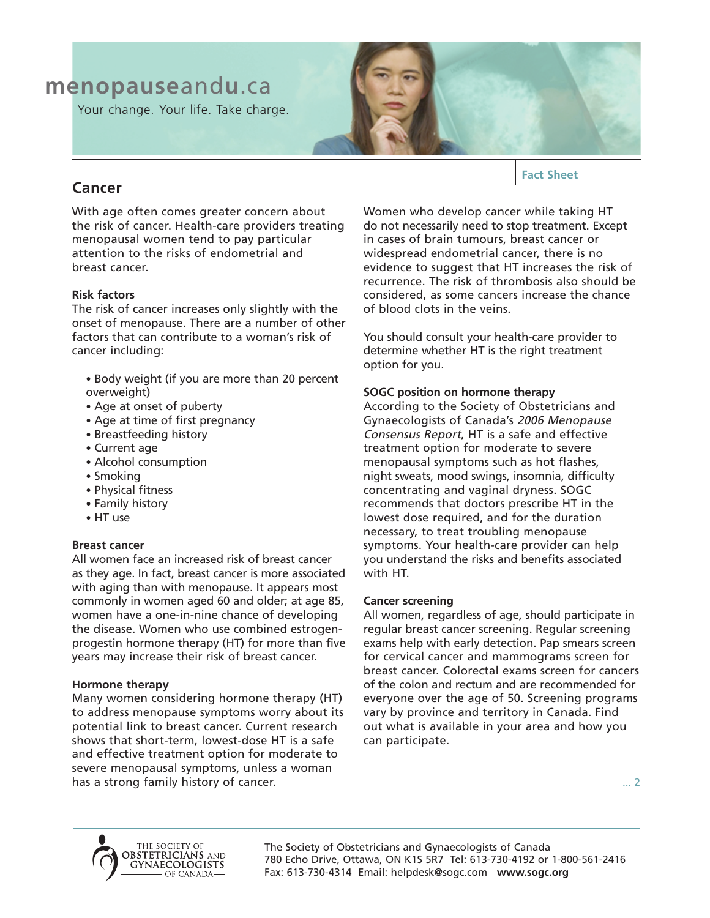# **menopause**and**u**.ca

Your change. Your life. Take charge.



## **Cancer**

With age often comes greater concern about the risk of cancer. Health-care providers treating menopausal women tend to pay particular attention to the risks of endometrial and breast cancer.

### **Risk factors**

The risk of cancer increases only slightly with the onset of menopause. There are a number of other factors that can contribute to a woman's risk of cancer including:

- Body weight (if you are more than 20 percent overweight)
- Age at onset of puberty
- Age at time of first pregnancy
- Breastfeeding history
- Current age
- Alcohol consumption
- Smoking
- Physical fitness
- Family history
- HT use

#### **Breast cancer**

All women face an increased risk of breast cancer as they age. In fact, breast cancer is more associated with aging than with menopause. It appears most commonly in women aged 60 and older; at age 85, women have a one-in-nine chance of developing the disease. Women who use combined estrogenprogestin hormone therapy (HT) for more than five years may increase their risk of breast cancer.

#### **Hormone therapy**

Many women considering hormone therapy (HT) to address menopause symptoms worry about its potential link to breast cancer. Current research shows that short-term, lowest-dose HT is a safe and effective treatment option for moderate to severe menopausal symptoms, unless a woman has a strong family history of cancer.

**Fact Sheet**

Women who develop cancer while taking HT do not necessarily need to stop treatment. Except in cases of brain tumours, breast cancer or widespread endometrial cancer, there is no evidence to suggest that HT increases the risk of recurrence. The risk of thrombosis also should be considered, as some cancers increase the chance of blood clots in the veins.

You should consult your health-care provider to determine whether HT is the right treatment option for you.

### **SOGC position on hormone therapy**

According to the Society of Obstetricians and Gynaecologists of Canada's 2006 Menopause Consensus Report, HT is a safe and effective treatment option for moderate to severe menopausal symptoms such as hot flashes, night sweats, mood swings, insomnia, difficulty concentrating and vaginal dryness. SOGC recommends that doctors prescribe HT in the lowest dose required, and for the duration necessary, to treat troubling menopause symptoms. Your health-care provider can help you understand the risks and benefits associated with HT.

#### **Cancer screening**

All women, regardless of age, should participate in regular breast cancer screening. Regular screening exams help with early detection. Pap smears screen for cervical cancer and mammograms screen for breast cancer. Colorectal exams screen for cancers of the colon and rectum and are recommended for everyone over the age of 50. Screening programs vary by province and territory in Canada. Find out what is available in your area and how you can participate.

... 2